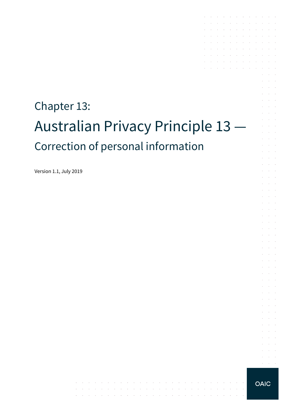# Chapter 13: Australian Privacy Principle 13 — Correction of personal information

the contract of the contract of the contract of

contractors and the

والمتواصل والمتعارض والمتعارض والمتعارض والمتعارض والمتعارض والمتعارض والمتعارض

Version 1.1, July 2019

 $\alpha = \alpha + \beta$ 

the contract of the contract of the contract of

and the company of the company of the

 $\sim$ 

 $\sim$ 

 $\alpha$  and  $\alpha$ 

 $\mathcal{L}$ 

 $\mathcal{L}$  $\alpha$  and  $\alpha$ 

 $\Delta \sim 10^{-1}$  $\mathcal{L}^{\text{max}}$ 

 $\alpha$  and  $\alpha$ **Service** 

 $\alpha=1$  .

÷  $\mathcal{L}^{\text{max}}$ 

 $\mathcal{L}$  $\alpha$  and  $\alpha$ 

 $\mathcal{A}$  . The contribution of the contribution of  $\mathcal{A}$ the control of the con-

the control of the control of

the contract of the contract of and a straightful and a straight and

the contract of the contract of the and the company of the company

 $\sim$ 

 $\sim$  $\sim$ 

 $\mathcal{L}_{\mathcal{A}}$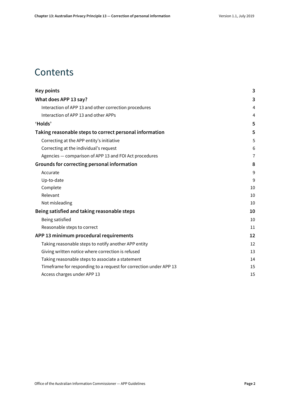### **Contents**

| <b>Key points</b>                                                 | 3              |
|-------------------------------------------------------------------|----------------|
| What does APP 13 say?                                             | 3              |
| Interaction of APP 13 and other correction procedures             | 4              |
| Interaction of APP 13 and other APPs                              | 4              |
| 'Holds'                                                           | 5              |
| Taking reasonable steps to correct personal information           | 5              |
| Correcting at the APP entity's initiative                         | 5              |
| Correcting at the individual's request                            | 6              |
| Agencies - comparison of APP 13 and FOI Act procedures            | $\overline{1}$ |
| Grounds for correcting personal information                       | 8              |
| Accurate                                                          | 9              |
| Up-to-date                                                        | 9              |
| Complete                                                          | 10             |
| Relevant                                                          | 10             |
| Not misleading                                                    | 10             |
| Being satisfied and taking reasonable steps                       | 10             |
| Being satisfied                                                   | 10             |
| Reasonable steps to correct                                       | 11             |
| APP 13 minimum procedural requirements                            | 12             |
| Taking reasonable steps to notify another APP entity              | 12             |
| Giving written notice where correction is refused                 | 13             |
| Taking reasonable steps to associate a statement                  | 14             |
| Timeframe for responding to a request for correction under APP 13 | 15             |
| Access charges under APP 13                                       | 15             |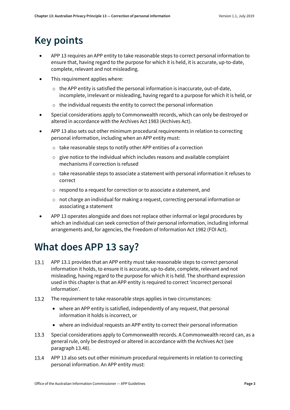# <span id="page-2-0"></span>**Key points**

- APP 13 requires an APP entity to take reasonable steps to correct personal information to ensure that, having regard to the purpose for which it is held, it is accurate, up-to-date, complete, relevant and not misleading.
- This requirement applies where:
	- $\circ$  the APP entity is satisfied the personal information is inaccurate, out-of-date, incomplete, irrelevant or misleading, having regard to a purpose for which it is held, or
	- $\circ$  the individual requests the entity to correct the personal information
- Special considerations apply to Commonwealth records, which can only be destroyed or altered in accordance with the Archives Act 1983 (Archives Act).
- APP 13 also sets out other minimum procedural requirements in relation to correcting personal information, including when an APP entity must:
	- o take reasonable steps to notify other APP entities of a correction
	- o give notice to the individual which includes reasons and available complaint mechanisms if correction is refused
	- o take reasonable steps to associate a statement with personal information it refuses to correct
	- o respond to a request for correction or to associate a statement, and
	- o not charge an individual for making a request, correcting personal information or associating a statement
- APP 13 operates alongside and does not replace other informal or legal procedures by which an individual can seek correction of their personal information, including informal arrangements and, for agencies, the Freedom of Information Act 1982 (FOI Act).

# <span id="page-2-1"></span>**What does APP 13 say?**

- APP 13.1 provides that an APP entity must take reasonable steps to correct personal  $13.1$ information it holds, to ensure it is accurate, up-to-date, complete, relevant and not misleading, having regard to the purpose for which it is held. The shorthand expression used in this chapter is that an APP entity is required to correct 'incorrect personal information'.
- The requirement to take reasonable steps applies in two circumstances:  $13.2$ 
	- where an APP entity is satisfied, independently of any request, that personal information it holds is incorrect, or
	- where an individual requests an APP entity to correct their personal information
- $13.3$ Special considerations apply to Commonwealth records. A Commonwealth record can, as a general rule, only be destroyed or altered in accordance with the Archives Act (see paragraph [13.48\)](#page-11-2).
- 13.4 APP 13 also sets out other minimum procedural requirements in relation to correcting personal information. An APP entity must: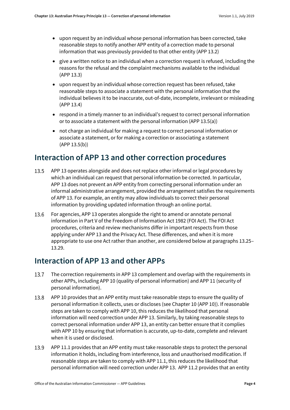- upon request by an individual whose personal information has been corrected, take reasonable steps to notify another APP entity of a correction made to personal information that was previously provided to that other entity (APP 13.2)
- give a written notice to an individual when a correction request is refused, including the reasons for the refusal and the complaint mechanisms available to the individual (APP 13.3)
- upon request by an individual whose correction request has been refused, take reasonable steps to associate a statement with the personal information that the individual believes it to be inaccurate, out-of-date, incomplete, irrelevant or misleading (APP 13.4)
- respond in a timely manner to an individual's request to correct personal information or to associate a statement with the personal information (APP 13.5(a))
- not charge an individual for making a request to correct personal information or associate a statement, or for making a correction or associating a statement (APP 13.5(b))

#### <span id="page-3-0"></span>**Interaction of APP 13 and other correction procedures**

- 13.5 APP 13 operates alongside and does not replace other informal or legal procedures by which an individual can request that personal information be corrected. In particular, APP 13 does not prevent an APP entity from correcting personal information under an informal administrative arrangement, provided the arrangement satisfies the requirements of APP 13. For example, an entity may allow individuals to correct their personal information by providing updated information through an online portal.
- 13.6 For agencies, APP 13 operates alongside the right to amend or annotate personal information in Part V of the Freedom of Information Act 1982 (FOI Act). The FOI Act procedures, criteria and review mechanisms differ in important respects from those applying under APP 13 and the Privacy Act. These differences, and when it is more appropriate to use one Act rather than another, are considered below at paragraph[s 13.25–](#page-6-1) [13.29.](#page-7-1)

#### <span id="page-3-1"></span>**Interaction of APP 13 and other APPs**

- 13.7 The correction requirements in APP 13 complement and overlap with the requirements in other APPs, including APP 10 (quality of personal information) and APP 11 (security of personal information).
- 13.8 APP 10 provides that an APP entity must take reasonable steps to ensure the quality of personal information it collects, uses or discloses (see Chapter 10 (APP 10)). If reasonable steps are taken to comply with APP 10, this reduces the likelihood that personal information will need correction under APP 13. Similarly, by taking reasonable steps to correct personal information under APP 13, an entity can better ensure that it complies with APP 10 by ensuring that information is accurate, up-to-date, complete and relevant when it is used or disclosed.
- 13.9 APP 11.1 provides that an APP entity must take reasonable steps to protect the personal information it holds, including from interference, loss and unauthorised modification. If reasonable steps are taken to comply with APP 11.1, this reduces the likelihood that personal information will need correction under APP 13. APP 11.2 provides that an entity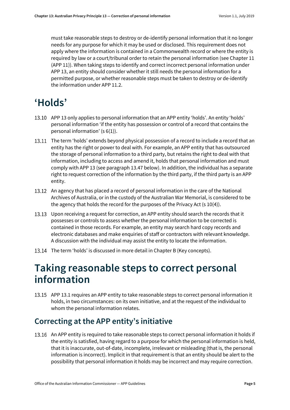must take reasonable steps to destroy or de-identify personal information that it no longer needs for any purpose for which it may be used or disclosed. This requirement does not apply where the information is contained in a Commonwealth record or where the entity is required by law or a court/tribunal order to retain the personal information (see Chapter 11 (APP 11)). When taking steps to identify and correct incorrect personal information under APP 13, an entity should consider whether it still needs the personal information for a permitted purpose, or whether reasonable steps must be taken to destroy or de-identify the information under APP 11.2.

# <span id="page-4-0"></span>**'Holds'**

- APP 13 only applies to personal information that an APP entity 'holds'. An entity 'holds' personal information 'if the entity has possession or control of a record that contains the personal information' (s 6(1)).
- <span id="page-4-3"></span>13.11 The term 'holds' extends beyond physical possession of a record to include a record that an entity has the right or power to deal with. For example, an APP entity that has outsourced the storage of personal information to a third party, but retains the right to deal with that information, including to access and amend it, holds that personal information and must comply with APP 13 (see paragraph [13.47](#page-10-1) below). In addition, the individual has a separate right to request correction of the information by the third party, if the third party is an APP entity.
- 13.12 An agency that has placed a record of personal information in the care of the National Archives of Australia, or in the custody of the Australian War Memorial, is considered to be the agency that holds the record for the purposes of the Privacy Act (s 10(4)).
- 13.13 Upon receiving a request for correction, an APP entity should search the records that it possesses or controls to assess whether the personal information to be corrected is contained in those records. For example, an entity may search hard copy records and electronic databases and make enquiries of staff or contractors with relevant knowledge. A discussion with the individual may assist the entity to locate the information.
- 13.14 The term 'holds' is discussed in more detail in Chapter B (Key concepts).

### <span id="page-4-1"></span>**Taking reasonable steps to correct personal information**

APP 13.1 requires an APP entity to take reasonable steps to correct personal information it holds, in two circumstances: on its own initiative, and at the request of the individual to whom the personal information relates.

#### <span id="page-4-2"></span>**Correcting at the APP entity's initiative**

<span id="page-4-4"></span>13.16 An APP entity is required to take reasonable steps to correct personal information it holds if the entity is satisfied, having regard to a purpose for which the personal information is held, that it is inaccurate, out-of-date, incomplete, irrelevant or misleading (that is, the personal information is incorrect). Implicit in that requirement is that an entity should be alert to the possibility that personal information it holds may be incorrect and may require correction.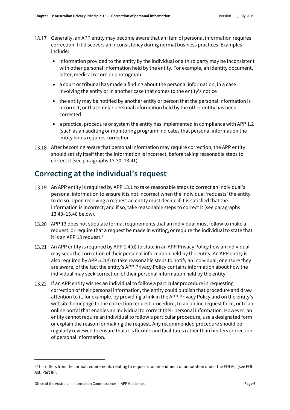- 13.17 Generally, an APP entity may become aware that an item of personal information requires correction if it discovers an inconsistency during normal business practices. Examples include:
	- information provided to the entity by the individual or a third party may be inconsistent with other personal information held by the entity. For example, an identity document, letter, medical record or photograph
	- a court or tribunal has made a finding about the personal information, in a case involving the entity or in another case that comes to the entity's notice
	- the entity may be notified by another entity or person that the personal information is incorrect, or that similar personal information held by the other entity has been corrected
	- a practice, procedure or system the entity has implemented in compliance with APP 1.2 (such as an auditing or monitoring program) indicates that personal information the entity holds requires correction.
- <span id="page-5-3"></span>13.18 After becoming aware that personal information may require correction, the APP entity should satisfy itself that the information is incorrect, before taking reasonable steps to correct it (see paragraph[s 13.30](#page-7-2)[–13.41\)](#page-9-5).

#### <span id="page-5-0"></span>**Correcting at the individual's request**

- 13.19 An APP entity is required by APP 13.1 to take reasonable steps to correct an individual's personal information to ensure it is not incorrect when the individual 'requests' the entity to do so. Upon receiving a request an entity must decide if it is satisfied that the information is incorrect, and if so, take reasonable steps to correct it (see paragraphs [13.43–](#page-9-6)[13.48](#page-11-2) below).
- APP 13 does not stipulate formal requirements that an individual must follow to make a request, or require that a request be made in writing, or require the individual to state that it is an APP [1](#page-5-1)3 request. $1$
- <span id="page-5-2"></span>13.21 An APP entity is required by APP 1.4(d) to state in an APP Privacy Policy how an individual may seek the correction of their personal information held by the entity. An APP entity is also required by APP 5.2(g) to take reasonable steps to notify an individual, or ensure they are aware, of the fact the entity's APP Privacy Policy contains information about how the individual may seek correction of their personal information held by the entity.
- 13.22 If an APP entity wishes an individual to follow a particular procedure in requesting correction of their personal information, the entity could publish that procedure and draw attention to it, for example, by providing a link in the APP Privacy Policy and on the entity's website homepage to the correction request procedure, to an online request form, or to an online portal that enables an individual to correct their personal information. However, an entity cannot require an individual to follow a particular procedure, use a designated form or explain the reason for making the request. Any recommended procedure should be regularly reviewed to ensure that it is flexible and facilitates rather than hinders correction of personal information.

<span id="page-5-1"></span><sup>&</sup>lt;sup>1</sup> This differs from the formal requirements relating to requests for amendment or annotation under the FOI Act (see FOI Act, Part III).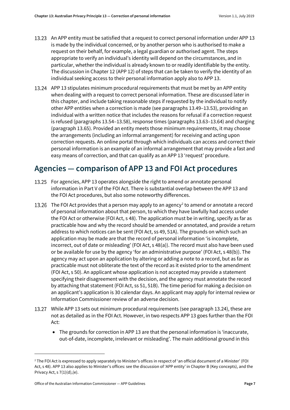- 13.23 An APP entity must be satisfied that a request to correct personal information under APP 13 is made by the individual concerned, or by another person who is authorised to make a request on their behalf, for example, a legal guardian or authorised agent. The steps appropriate to verify an individual's identity will depend on the circumstances, and in particular, whether the individual is already known to or readily identifiable by the entity. The discussion in Chapter 12 (APP 12) of steps that can be taken to verify the identity of an individual seeking access to their personal information apply also to APP 13.
- <span id="page-6-2"></span>APP 13 stipulates minimum procedural requirements that must be met by an APP entity when dealing with a request to correct personal information. These are discussed later in this chapter, and include taking reasonable steps if requested by the individual to notify other APP entities when a correction is made (see paragraphs [13.49–](#page-11-3)[13.53\)](#page-12-1), providing an individual with a written notice that includes the reasons for refusal if a correction request is refused (paragraph[s 13.54](#page-12-2)[–13.58\)](#page-13-1), response times (paragraph[s 13.63](#page-14-2)[–13.64\)](#page-14-3) and charging (paragrap[h 13.65\)](#page-14-4). Provided an entity meets those minimum requirements, it may choose the arrangements (including an informal arrangement) for receiving and acting upon correction requests. An online portal through which individuals can access and correct their personal information is an example of an informal arrangement that may provide a fast and easy means of correction, and that can qualify as an APP 13 'request' procedure.

### <span id="page-6-0"></span>**Agencies — comparison of APP 13 and FOI Act procedures**

- <span id="page-6-1"></span>13.25 For agencies, APP 13 operates alongside the right to amend or annotate personal information in Part V of the FOI Act. There is substantial overlap between the APP 13 and the FOI Act procedures, but also some noteworthy differences.
- <span id="page-6-4"></span>13.[2](#page-6-3)6 The FOI Act provides that a person may apply to an agency<sup>2</sup> to amend or annotate a record of personal information about that person, to which they have lawfully had access under the FOI Act or otherwise (FOI Act, s 48). The application must be in writing, specify as far as practicable how and why the record should be amended or annotated, and provide a return address to which notices can be sent (FOI Act, ss 49, 51A). The grounds on which such an application may be made are that the record of personal information 'is incomplete, incorrect, out of date or misleading' (FOI Act, s 48(a)). The record must also have been used or be available for use by the agency 'for an administrative purpose' (FOI Act, s 48(b)). The agency may act upon an application by altering or adding a note to a record, but as far as practicable must not obliterate the text of the record as it existed prior to the amendment (FOI Act, s 50). An applicant whose application is not accepted may provide a statement specifying their disagreement with the decision, and the agency must annotate the record by attaching that statement (FOI Act, ss 51, 51B). The time period for making a decision on an applicant's application is 30 calendar days. An applicant may apply for internal review or Information Commissioner review of an adverse decision.
- While APP 13 sets out minimum procedural requirements (see paragrap[h 13.24\)](#page-6-2), these are not as detailed as in the FOI Act. However, in two respects APP 13 goes further than the FOI Act:
	- The grounds for correction in APP 13 are that the personal information is 'inaccurate, out-of-date, incomplete, irrelevant or misleading'. The main additional ground in this

<span id="page-6-3"></span><sup>&</sup>lt;sup>2</sup> The FOI Act is expressed to apply separately to Minister's offices in respect of 'an official document of a Minister' (FOI) Act, s 48). APP 13 also applies to Minister's offices: see the discussion of 'APP entity' in Chapter B (Key concepts), and the Privacy Act, s 7(1)(d),(e).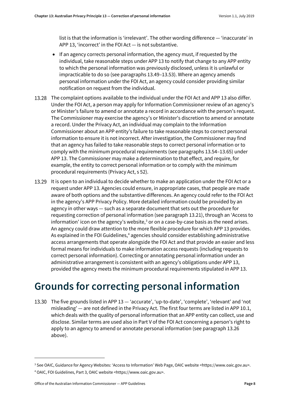list is that the information is 'irrelevant'. The other wording difference — 'inaccurate' in APP 13, 'incorrect' in the FOI Act — is not substantive.

- If an agency corrects personal information, the agency must, if requested by the individual, take reasonable steps under APP 13 to notify that change to any APP entity to which the personal information was previously disclosed, unless it is unlawful or impracticable to do so (see paragraph[s 13.49](#page-11-3)[–13.53\)](#page-12-1). Where an agency amends personal information under the FOI Act, an agency could consider providing similar notification on request from the individual.
- 13.28 The complaint options available to the individual under the FOI Act and APP 13 also differ. Under the FOI Act, a person may apply for Information Commissioner review of an agency's or Minister's failure to amend or annotate a record in accordance with the person's request. The Commissioner may exercise the agency's or Minister's discretion to amend or annotate a record. Under the Privacy Act, an individual may complain to the Information Commissioner about an APP entity's failure to take reasonable steps to correct personal information to ensure it is not incorrect. After investigation, the Commissioner may find that an agency has failed to take reasonable steps to correct personal information or to comply with the minimum procedural requirements (see paragraph[s 13.54](#page-12-2)[–13.65\)](#page-14-4) under APP 13. The Commissioner may make a determination to that effect, and require, for example, the entity to correct personal information or to comply with the minimum procedural requirements (Privacy Act, s 52).
- <span id="page-7-1"></span>13.29 It is open to an individual to decide whether to make an application under the FOI Act or a request under APP 13. Agencies could ensure, in appropriate cases, that people are made aware of both options and the substantive differences. An agency could refer to the FOI Act in the agency's APP Privacy Policy. More detailed information could be provided by an agency in other ways — such as a separate document that sets out the procedure for requesting correction of personal information (see paragrap[h 13.21\)](#page-5-2), through an 'Access to information' icon on the agency's website, $3$  or on a case-by-case basis as the need arises. An agency could draw attention to the more flexible procedure for which APP 13 provides. As explained in the FOI Guidelines,<sup>[4](#page-7-4)</sup> agencies should consider establishing administrative access arrangements that operate alongside the FOI Act and that provide an easier and less formal means for individuals to make information access requests (including requests to correct personal information). Correcting or annotating personal information under an administrative arrangement is consistent with an agency's obligations under APP 13, provided the agency meets the minimum procedural requirements stipulated in APP 13.

### <span id="page-7-0"></span>**Grounds for correcting personal information**

<span id="page-7-2"></span>13.30 The five grounds listed in APP 13 — 'accurate', 'up-to-date', 'complete', 'relevant' and 'not misleading' — are not defined in the Privacy Act. The first four terms are listed in APP 10.1, which deals with the quality of personal information that an APP entity can collect, use and disclose. Similar terms are used also in Part V of the FOI Act concerning a person's right to apply to an agency to amend or annotate personal information (see paragrap[h 13.26](#page-6-4) above).

<span id="page-7-3"></span><sup>3</sup> See OAIC, Guidance for Agency Websites: 'Access to Information' Web Page, OAIC website <https://www.oaic.gov.au>.

<span id="page-7-4"></span><sup>4</sup> OAIC, FOI Guidelines, Part 3, OAIC website <https://www.oaic.gov.au>.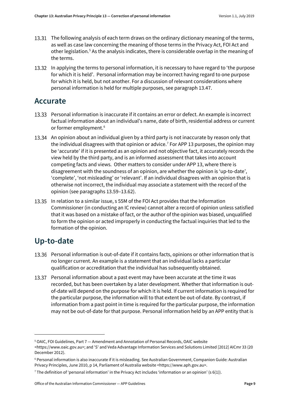- 13.31 The following analysis of each term draws on the ordinary dictionary meaning of the terms, as well as case law concerning the meaning of those terms in the Privacy Act, FOI Act and other legislation.[5](#page-8-2) As the analysis indicates, there is considerable overlap in the meaning of the terms.
- <span id="page-8-5"></span>In applying the terms to personal information, it is necessary to have regard to 'the purpose for which it is held'. Personal information may be incorrect having regard to one purpose for which it is held, but not another. For a discussion of relevant considerations where personal information is held for multiple purposes, see paragraph [13.47.](#page-10-1)

#### <span id="page-8-0"></span>**Accurate**

- 13.33 Personal information is inaccurate if it contains an error or defect. An example is incorrect factual information about an individual's name, date of birth, residential address or current or former employment.<sup>[6](#page-8-3)</sup>
- 13.34 An opinion about an individual given by a third party is not inaccurate by reason only that the individual disagrees with that opinion or advice.[7](#page-8-4) For APP 13 purposes, the opinion may be 'accurate' if it is presented as an opinion and not objective fact, it accurately records the view held by the third party, and is an informed assessment that takes into account competing facts and views. Other matters to consider under APP 13, where there is disagreement with the soundness of an opinion, are whether the opinion is 'up-to-date', 'complete', 'not misleading' or 'relevant'. If an individual disagrees with an opinion that is otherwise not incorrect, the individual may associate a statement with the record of the opinion (see paragraph[s 13.59](#page-13-2)[–13.62\)](#page-14-5).
- 13.35 In relation to a similar issue, s 55M of the FOI Act provides that the Information Commissioner (in conducting an IC review) cannot alter a record of opinion unless satisfied that it was based on a mistake of fact, or the author of the opinion was biased, unqualified to form the opinion or acted improperly in conducting the factual inquiries that led to the formation of the opinion.

#### <span id="page-8-1"></span>**Up-to-date**

 $\overline{a}$ 

- 13.36 Personal information is out-of-date if it contains facts, opinions or other information that is no longer current. An example is a statement that an individual lacks a particular qualification or accreditation that the individual has subsequently obtained.
- 13.37 Personal information about a past event may have been accurate at the time it was recorded, but has been overtaken by a later development. Whether that information is outof-date will depend on the purpose for which it is held. If current information is required for the particular purpose, the information will to that extent be out-of-date. By contrast, if information from a past point in time is required for the particular purpose, the information may not be out-of-date for that purpose. Personal information held by an APP entity that is

<span id="page-8-2"></span><sup>5</sup> OAIC, FOI Guidelines, Part 7 — Amendment and Annotation of Personal Records, OAIC website

<sup>&</sup>lt;https://www.oaic.gov.au>; and 'S' and Veda Advantage Information Services and Solutions Limited [2012] AICmr 33 (20 December 2012).

<span id="page-8-3"></span><sup>6</sup> Personal information is also inaccurate if it is misleading. See Australian Government, Companion Guide: Australian Privacy Principles, June 2010, p 14, Parliament of Australia website <https://www.aph.gov.au>.

<span id="page-8-4"></span> $^7$  The definition of 'personal information' in the Privacy Act includes 'information or an opinion' (s 6(1)).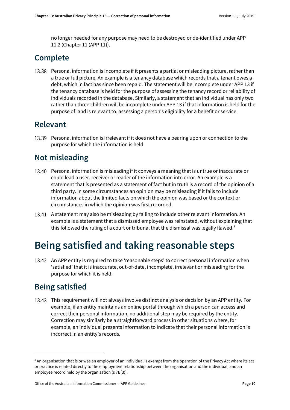no longer needed for any purpose may need to be destroyed or de-identified under APP 11.2 (Chapter 11 (APP 11)).

### <span id="page-9-0"></span>**Complete**

13.38 Personal information is incomplete if it presents a partial or misleading picture, rather than a true or full picture. An example is a tenancy database which records that a tenant owes a debt, which in fact has since been repaid. The statement will be incomplete under APP 13 if the tenancy database is held for the purpose of assessing the tenancy record or reliability of individuals recorded in the database. Similarly, a statement that an individual has only two rather than three children will be incomplete under APP 13 if that information is held for the purpose of, and is relevant to, assessing a person's eligibility for a benefit or service.

#### <span id="page-9-1"></span>**Relevant**

13.39 Personal information is irrelevant if it does not have a bearing upon or connection to the purpose for which the information is held.

### <span id="page-9-2"></span>**Not misleading**

- 13.40 Personal information is misleading if it conveys a meaning that is untrue or inaccurate or could lead a user, receiver or reader of the information into error. An example is a statement that is presented as a statement of fact but in truth is a record of the opinion of a third party. In some circumstances an opinion may be misleading if it fails to include information about the limited facts on which the opinion was based or the context or circumstances in which the opinion was first recorded.
- <span id="page-9-5"></span>13.41 A statement may also be misleading by failing to include other relevant information. An example is a statement that a dismissed employee was reinstated, without explaining that this followed the ruling of a court or tribunal that the dismissal was legally flawed.<sup>[8](#page-9-7)</sup>

# <span id="page-9-3"></span>**Being satisfied and taking reasonable steps**

13.42 An APP entity is required to take 'reasonable steps' to correct personal information when 'satisfied' that it is inaccurate, out-of-date, incomplete, irrelevant or misleading for the purpose for which it is held.

### <span id="page-9-4"></span>**Being satisfied**

**.** 

<span id="page-9-6"></span>13.43 This requirement will not always involve distinct analysis or decision by an APP entity. For example, if an entity maintains an online portal through which a person can access and correct their personal information, no additional step may be required by the entity. Correction may similarly be a straightforward process in other situations where, for example, an individual presents information to indicate that their personal information is incorrect in an entity's records.

<span id="page-9-7"></span><sup>8</sup> An organisation that is or was an employer of an individual is exempt from the operation of the Privacy Act where its act or practice is related directly to the employment relationship between the organisation and the individual, and an employee record held by the organisation (s 7B(3)).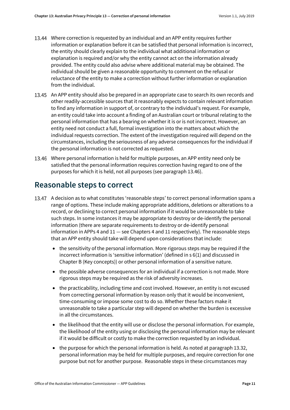- Where correction is requested by an individual and an APP entity requires further information or explanation before it can be satisfied that personal information is incorrect, the entity should clearly explain to the individual what additional information or explanation is required and/or why the entity cannot act on the information already provided. The entity could also advise where additional material may be obtained. The individual should be given a reasonable opportunity to comment on the refusal or reluctance of the entity to make a correction without further information or explanation from the individual.
- 13.45 An APP entity should also be prepared in an appropriate case to search its own records and other readily-accessible sources that it reasonably expects to contain relevant information to find any information in support of, or contrary to the individual's request. For example, an entity could take into account a finding of an Australian court or tribunal relating to the personal information that has a bearing on whether it is or is not incorrect. However, an entity need not conduct a full, formal investigation into the matters about which the individual requests correction. The extent of the investigation required will depend on the circumstances, including the seriousness of any adverse consequences for the individual if the personal information is not corrected as requested.
- Where personal information is held for multiple purposes, an APP entity need only be satisfied that the personal information requires correction having regard to one of the purposes for which it is held, not all purposes (see paragrap[h 13.46\)](#page-10-1).

#### <span id="page-10-0"></span>**Reasonable steps to correct**

- <span id="page-10-1"></span>13.47 A decision as to what constitutes 'reasonable steps' to correct personal information spans a range of options. These include making appropriate additions, deletions or alterations to a record, or declining to correct personal information if it would be unreasonable to take such steps. In some instances it may be appropriate to destroy or de-identify the personal information (there are separate requirements to destroy or de-identify personal information in APPs 4 and  $11$  - see Chapters 4 and 11 respectively). The reasonable steps that an APP entity should take will depend upon considerations that include:
	- the sensitivity of the personal information. More rigorous steps may be required if the incorrect information is 'sensitive information' (defined in s 6(1) and discussed in Chapter B (Key concepts)) or other personal information of a sensitive nature.
	- the possible adverse consequences for an individual if a correction is not made. More rigorous steps may be required as the risk of adversity increases.
	- the practicability, including time and cost involved. However, an entity is not excused from correcting personal information by reason only that it would be inconvenient, time-consuming or impose some cost to do so. Whether these factors make it unreasonable to take a particular step will depend on whether the burden is excessive in all the circumstances.
	- the likelihood that the entity will use or disclose the personal information. For example, the likelihood of the entity using or disclosing the personal information may be relevant if it would be difficult or costly to make the correction requested by an individual.
	- the purpose for which the personal information is held. As noted at paragraph [13.32,](#page-8-5) personal information may be held for multiple purposes, and require correction for one purpose but not for another purpose. Reasonable steps in these circumstances may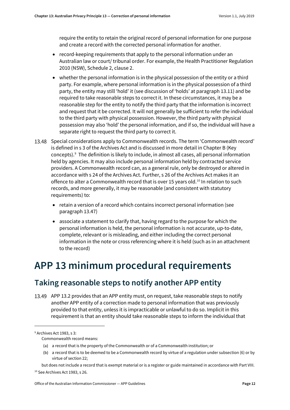require the entity to retain the original record of personal information for one purpose and create a record with the corrected personal information for another.

- record-keeping requirements that apply to the personal information under an Australian law or court/ tribunal order. For example, the Health Practitioner Regulation 2010 (NSW), Schedule 2, clause 2.
- whether the personal information is in the physical possession of the entity or a third party. For example, where personal information is in the physical possession of a third party, the entity may still 'hold' it (see discussion of 'holds' at paragrap[h 13.11\)](#page-4-3) and be required to take reasonable steps to correct it. In these circumstances, it may be a reasonable step for the entity to notify the third party that the information is incorrect and request that it be corrected. It will not generally be sufficient to refer the individual to the third party with physical possession. However, the third party with physical possession may also 'hold' the personal information, and if so, the individual will have a separate right to request the third party to correct it.
- <span id="page-11-2"></span>13.48 Special considerations apply to Commonwealth records. The term 'Commonwealth record' is defined in s 3 of the Archives Act and is discussed in more detail in Chapter B (Key concepts).[9](#page-11-4) The definition is likely to include, in almost all cases, all personal information held by agencies. It may also include personal information held by contracted service providers. A Commonwealth record can, as a general rule, only be destroyed or altered in accordance with s 24 of the Archives Act. Further, s 26 of the Archives Act makes it an offence to alter a Commonwealth record that is over 15 years old.<sup>[10](#page-11-5)</sup> In relation to such records, and more generally, it may be reasonable (and consistent with statutory requirements) to:
	- retain a version of a record which contains incorrect personal information (see paragraph [13.47\)](#page-10-1)
	- associate a statement to clarify that, having regard to the purpose for which the personal information is held, the personal information is not accurate, up-to-date, complete, relevant or is misleading, and either including the correct personal information in the note or cross referencing where it is held (such as in an attachment to the record)

# <span id="page-11-0"></span>**APP 13 minimum procedural requirements**

#### <span id="page-11-1"></span>**Taking reasonable steps to notify another APP entity**

<span id="page-11-3"></span>13.49 APP 13.2 provides that an APP entity must, on request, take reasonable steps to notify another APP entity of a correction made to personal information that was previously provided to that entity, unless it is impracticable or unlawful to do so. Implicit in this requirement is that an entity should take reasonable steps to inform the individual that

<span id="page-11-4"></span><sup>9</sup> Archives Act 1983, s 3:

Commonwealth record means:

<sup>(</sup>a) a record that is the property of the Commonwealth or of a Commonwealth institution; or

<sup>(</sup>b) a record that is to be deemed to be a Commonwealth record by virtue of a regulation under subsection (6) or by virtue of section 22;

<span id="page-11-5"></span>but does not include a record that is exempt material or is a register or guide maintained in accordance with Part VIII. <sup>10</sup> See Archives Act 1983, s 26.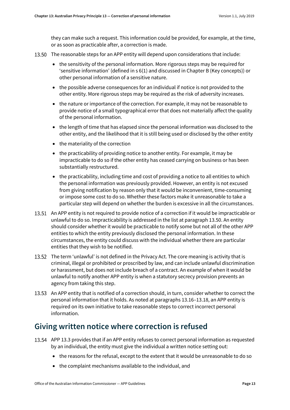they can make such a request. This information could be provided, for example, at the time, or as soon as practicable after, a correction is made.

- <span id="page-12-3"></span>13.50 The reasonable steps for an APP entity will depend upon considerations that include:
	- the sensitivity of the personal information. More rigorous steps may be required for 'sensitive information' (defined in s 6(1) and discussed in Chapter B (Key concepts)) or other personal information of a sensitive nature.
	- the possible adverse consequences for an individual if notice is not provided to the other entity. More rigorous steps may be required as the risk of adversity increases.
	- the nature or importance of the correction. For example, it may not be reasonable to provide notice of a small typographical error that does not materially affect the quality of the personal information.
	- the length of time that has elapsed since the personal information was disclosed to the other entity, and the likelihood that it is still being used or disclosed by the other entity
	- the materiality of the correction
	- the practicability of providing notice to another entity. For example, it may be impracticable to do so if the other entity has ceased carrying on business or has been substantially restructured.
	- the practicability, including time and cost of providing a notice to all entities to which the personal information was previously provided. However, an entity is not excused from giving notification by reason only that it would be inconvenient, time-consuming or impose some cost to do so. Whether these factors make it unreasonable to take a particular step will depend on whether the burden is excessive in all the circumstances.
- 13.51 An APP entity is not required to provide notice of a correction if it would be impracticable or unlawful to do so. Impracticability is addressed in the list at paragrap[h 13.50.](#page-12-3) An entity should consider whether it would be practicable to notify some but not all of the other APP entities to which the entity previously disclosed the personal information. In these circumstances, the entity could discuss with the individual whether there are particular entities that they wish to be notified.
- 13.52 The term 'unlawful' is not defined in the Privacy Act. The core meaning is activity that is criminal, illegal or prohibited or proscribed by law, and can include unlawful discrimination or harassment, but does not include breach of a contract. An example of when it would be unlawful to notify another APP entity is when a statutory secrecy provision prevents an agency from taking this step.
- <span id="page-12-1"></span>13.53 An APP entity that is notified of a correction should, in turn, consider whether to correct the personal information that it holds. As noted at paragraphs [13.16](#page-4-4)[–13.18,](#page-5-3) an APP entity is required on its own initiative to take reasonable steps to correct incorrect personal information.

#### <span id="page-12-0"></span>**Giving written notice where correction is refused**

- <span id="page-12-2"></span>APP 13.3 provides that if an APP entity refuses to correct personal information as requested by an individual, the entity must give the individual a written notice setting out:
	- the reasons for the refusal, except to the extent that it would be unreasonable to do so
	- the complaint mechanisms available to the individual, and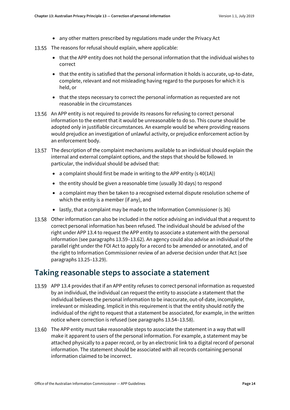- any other matters prescribed by regulations made under the Privacy Act
- 13.55 The reasons for refusal should explain, where applicable:
	- that the APP entity does not hold the personal information that the individual wishes to correct
	- that the entity is satisfied that the personal information it holds is accurate, up-to-date, complete, relevant and not misleading having regard to the purposes for which it is held, or
	- that the steps necessary to correct the personal information as requested are not reasonable in the circumstances
- 13.56 An APP entity is not required to provide its reasons for refusing to correct personal information to the extent that it would be unreasonable to do so. This course should be adopted only in justifiable circumstances. An example would be where providing reasons would prejudice an investigation of unlawful activity, or prejudice enforcement action by an enforcement body.
- 13.57 The description of the complaint mechanisms available to an individual should explain the internal and external complaint options, and the steps that should be followed. In particular, the individual should be advised that:
	- a complaint should first be made in writing to the APP entity  $(s 40(1A))$
	- the entity should be given a reasonable time (usually 30 days) to respond
	- a complaint may then be taken to a recognised external dispute resolution scheme of which the entity is a member (if any), and
	- lastly, that a complaint may be made to the Information Commissioner (s 36)
- <span id="page-13-1"></span>13.58 Other information can also be included in the notice advising an individual that a request to correct personal information has been refused. The individual should be advised of the right under APP 13.4 to request the APP entity to associate a statement with the personal information (see paragraph[s 13.59](#page-13-2)[–13.62\)](#page-14-5). An agency could also advise an individual of the parallel right under the FOI Act to apply for a record to be amended or annotated, and of the right to Information Commissioner review of an adverse decision under that Act (see paragraph[s 13.25](#page-6-1)[–13.29\)](#page-7-1).

#### <span id="page-13-0"></span>**Taking reasonable steps to associate a statement**

- <span id="page-13-2"></span>APP 13.4 provides that if an APP entity refuses to correct personal information as requested by an individual, the individual can request the entity to associate a statement that the individual believes the personal information to be inaccurate, out-of-date, incomplete, irrelevant or misleading. Implicit in this requirement is that the entity should notify the individual of the right to request that a statement be associated, for example, in the written notice where correction is refused (see paragraph[s 13.54](#page-12-2)[–13.58\)](#page-13-1).
- 13.60 The APP entity must take reasonable steps to associate the statement in a way that will make it apparent to users of the personal information. For example, a statement may be attached physically to a paper record, or by an electronic link to a digital record of personal information. The statement should be associated with all records containing personal information claimed to be incorrect.